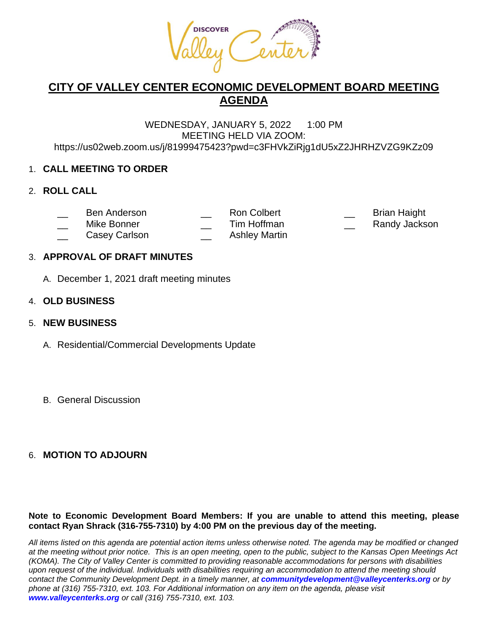

# **CITY OF VALLEY CENTER ECONOMIC DEVELOPMENT BOARD MEETING AGENDA**

#### WEDNESDAY, JANUARY 5, 2022 1:00 PM MEETING HELD VIA ZOOM: https://us02web.zoom.us/j/81999475423?pwd=c3FHVkZiRjg1dU5xZ2JHRHZVZG9KZz09

# 1. **CALL MEETING TO ORDER**

### 2. **ROLL CALL**

- \_\_ Ben Anderson \_\_ Ron Colbert \_\_ Brian Haight
- Mike Bonner **Example 2** Tim Hoffman **The Strutter Property Control** Randy Jackson
	-
- 
- Casey Carlson **Lacker Casey Carlson Casey Carlson**

# 3. **APPROVAL OF DRAFT MINUTES**

A. December 1, 2021 draft meeting minutes

# 4. **OLD BUSINESS**

# 5. **NEW BUSINESS**

- A. Residential/Commercial Developments Update
- B. General Discussion

# 6. **MOTION TO ADJOURN**

### **Note to Economic Development Board Members: If you are unable to attend this meeting, please contact Ryan Shrack (316-755-7310) by 4:00 PM on the previous day of the meeting.**

*All items listed on this agenda are potential action items unless otherwise noted. The agenda may be modified or changed at the meeting without prior notice. This is an open meeting, open to the public, subject to the Kansas Open Meetings Act (KOMA). The City of Valley Center is committed to providing reasonable accommodations for persons with disabilities upon request of the individual. Individuals with disabilities requiring an accommodation to attend the meeting should contact the Community Development Dept. in a timely manner, at communitydevelopment@valleycenterks.org or by phone at (316) 755-7310, ext. 103. For Additional information on any item on the agenda, please visit www.valleycenterks.org or call (316) 755-7310, ext. 103.*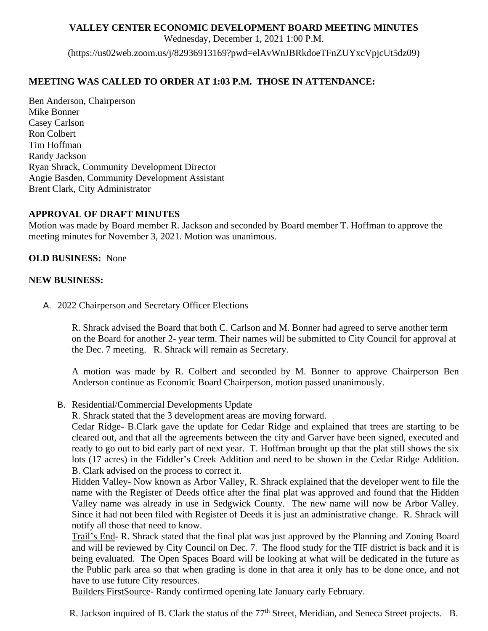### **VALLEY CENTER ECONOMIC DEVELOPMENT BOARD MEETING MINUTES**

Wednesday, December 1, 2021 1:00 P.M.

(https://us02web.zoom.us/j/82936913169?pwd=elAvWnJBRkdoeTFnZUYxcVpjcUt5dz09)

### **MEETING WAS CALLED TO ORDER AT 1:03 P.M. THOSE IN ATTENDANCE:**

Ben Anderson, Chairperson Mike Bonner Casey Carlson Ron Colbert Tim Hoffman Randy Jackson Ryan Shrack, Community Development Director Angie Basden, Community Development Assistant Brent Clark, City Administrator

### **APPROVAL OF DRAFT MINUTES**

Motion was made by Board member R. Jackson and seconded by Board member T. Hoffman to approve the meeting minutes for November 3, 2021. Motion was unanimous.

### **OLD BUSINESS:** None

### **NEW BUSINESS:**

A. 2022 Chairperson and Secretary Officer Elections

R. Shrack advised the Board that both C. Carlson and M. Bonner had agreed to serve another term on the Board for another 2- year term. Their names will be submitted to City Council for approval at the Dec. 7 meeting. R. Shrack will remain as Secretary.

A motion was made by R. Colbert and seconded by M. Bonner to approve Chairperson Ben Anderson continue as Economic Board Chairperson, motion passed unanimously.

B. Residential/Commercial Developments Update

R. Shrack stated that the 3 development areas are moving forward.

Cedar Ridge- B.Clark gave the update for Cedar Ridge and explained that trees are starting to be cleared out, and that all the agreements between the city and Garver have been signed, executed and ready to go out to bid early part of next year. T. Hoffman brought up that the plat still shows the six lots (17 acres) in the Fiddler's Creek Addition and need to be shown in the Cedar Ridge Addition. B. Clark advised on the process to correct it.

Hidden Valley- Now known as Arbor Valley, R. Shrack explained that the developer went to file the name with the Register of Deeds office after the final plat was approved and found that the Hidden Valley name was already in use in Sedgwick County. The new name will now be Arbor Valley. Since it had not been filed with Register of Deeds it is just an administrative change. R. Shrack will notify all those that need to know.

Trail's End- R. Shrack stated that the final plat was just approved by the Planning and Zoning Board and will be reviewed by City Council on Dec. 7. The flood study for the TIF district is back and it is being evaluated. The Open Spaces Board will be looking at what will be dedicated in the future as the Public park area so that when grading is done in that area it only has to be done once, and not have to use future City resources.

Builders FirstSource- Randy confirmed opening late January early February.

R. Jackson inquired of B. Clark the status of the 77<sup>th</sup> Street, Meridian, and Seneca Street projects. B.